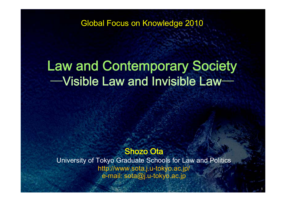Global Focus on Knowledge 2010

# Law and Contemporary Society  $-$ Visible Law and Invisible Law $-$

# Shozo Ota

University of Tokyo Graduate Schools for Law and Politics http://www.sota.j.u-tokyo.ac.jp/ e-mail: sota@j.u-tokyo.ac.jp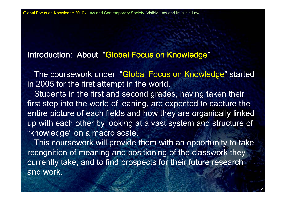# Introduction: About "Global Focus on Knowledge"

The coursework under "Global Focus on Knowledge" started in 2005 for the first attempt in the world.

Students in the first and second grades, having taken their first step into the world of leaning, are expected to capture the entire picture of each fields and how they are organically linked up with each other by looking at a vast system and structure of "knowledge" on a macro scale.

This coursework will provide them with an opportunity to take recognition of meaning and positioning of the classwork they currently take, and to find prospects for their future research and work.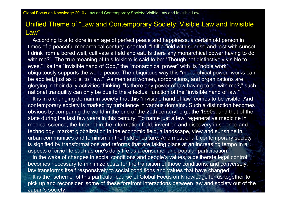### Unified Theme of "Law and Contemporary Society: Visible Law and Invisible Law"

According to a folklore in an age of perfect peace and happiness, a certain old person in times of a peaceful monarchical century chanted, "I till a field with sunrise and rest with sunset. I drink from a bored well, cultivate a field and eat. Is there any monarchical power having to do with me?" The true meaning of this folklore is said to be: "Though not distinctively visible to eyes," like the "invisible hand of God," the "monarchical power" with its "noble work" ubiquitously supports the world peace. The ubiquitous way this "monarchical power" works can be applied, just as it is, to "law." As men and women, corporations, and organizations are glorying in their daily activities thinking, "Is there any power of law having to do with me?," such national tranquility can only be due to the effectual function of the "invisible hand of law."

It is in a changing domain in society that this "invisible hand of law" comes to be visible. And contemporary society is marked by turbulence in various domains. Such a distinction becomes obvious by comparing the world in the end of the 20th century, e.g., the 1990s, and that of the state during the last few years in this century. To name just a few, regenerative medicine in medical science, the Internet in the information field, invention and discovery in science and technology, market globalization in the economic field, a landscape, view and sunshine in urban communities and feminism in the field of culture. And most of all, contemporary society is signified by transformations and reforms that are taking place at an increasing tempo in all aspects of civic life such as one's daily life as a consumer and popular participation.

In the wake of changes in social conditions and people's values, a deliberate legal control becomes necessary to minimize costs for the transition of those conditions, and conversely, law transforms itself responsively to social conditions and values that have changed. It is the "scheme" of this particular course of Global Focus on Knowledge for us together to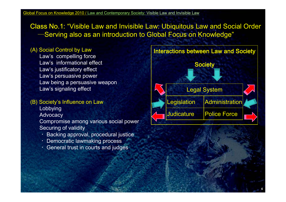Class No.1: "Visible Law and Invisible Law: Ubiquitous Law and Social Order -Serving also as an introduction to Global Focus on Knowledge"

#### (A) Social Control by Law

Law's informational effectLaw's justificatory effect Law's persuasive power Law being a persuasive weapon Law's signaling effect

# Lobbying

Advocacy

Compromise among various social power Securing of validity

- ・Backing approval, procedural justice
- ・Democratic lawmaking process
- $\cdot$  General trust in courts and judges

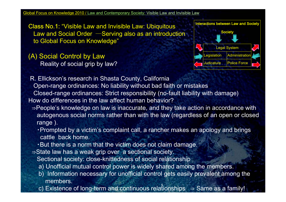Class No.1: "Visible Law and Invisible Law: Ubiquitous L dS i lOd S i l i t d ti Society Law and Social Order ―Serving also as an introduction to Global Focus on Knowledge"

(A) Social Control by Law  $\blacksquare$ Reality of social grip by law?



R. Ellickson's research in Shasta County, California Open-range ordinances: No liability without bad faith or mistakes Closed-range ordinances: Strict responsibility (no-fault liability with damage) How do differences in the law affect human behavior?

- ⇒People's knowledge on law is inaccurate, and they take action in accordance with autogenous social norms rather than with the law (regardless of an open or closed range).
	- ▪Prompted by a victim's complaint call, a rancher makes an apology and brings cattle back home.
	- . But there is a norm that the victim does not claim damage.
- ⇒State law has a weak grip over a sectional society. Sectional society: close-knittedness of social relationship
	- a) Unofficial mutual control power is widely shared among the members.
	- b) Information necessary for unofficial control gets easily prevalent among the members.
	- c) Existence of long-term and continuous relationships  $\Rightarrow$  Same as a family!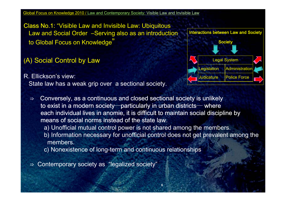Class No.1: "Visible Law and Invisible Law: Ubiquitous Law and Social Order -Serving also as an introduction to Global Focus on Knowledge" Society and Society and Society and Society and Society and Society and Society and Society and Society and Society and Society and Society and Society and Society and Society and Society and

(A) Social Control by Law

R. Ellickson's view: State law has a weak grip over a sectional society.



⇒Conversely, as a continuous and closed sectional society is unlikely to exist in a modern society—particularly in urban districts— where each individual lives in anomie, it is difficult to maintain social discipline by means of social norms instead of the state law.

a) Unofficial mutual control power is not shared among the members.

b) Information necessary for unofficial control does not get prevalent among the members.

c) Nonexistence of long-term and continuous relationships

⇒ Contemporary society as "legalized society"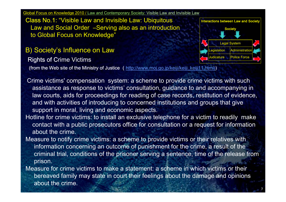Class No.1: "Visible Law and Invisible Law: Ubiquitous Law and Social Order -Serving also as an introduction to Global Focus on Knowledge"

B) Society's Influence on Law

**Rights of Crime Victims** 

(from the Web site of the Ministry of Justice (http://www.moj.go.jp/keiji/keiji\_keiji11.html))

- **Interactions between Law and Society** Legal System dicature **Police Force**
- Crime victims' compensation system: a scheme to provide crime victims with such assistance as response to victims' consultation, guidance to and accompanying in law courts, aids for proceedings for reading of case records, restitution of evidence, and with activities of introducing to concerned institutions and groups that give support in moral, living and economic aspects.
- Hotline for crime victims: to install an exclusive telephone for a victim to readily make contact with <sup>a</sup> public prosecutors office for consultation or <sup>a</sup> request for information about the crime.
- Measure to notify crime victims: a scheme to provide victims or their relatives with information concerning an outcome of punishment for the crime, a result of the criminal trial, conditions of the prisoner serving a sentence, time of the release from prison.
- Measure for crime victims to make a statement: a scheme in which victims or their bereaved family may state in court their feelings about the damage and opinions about the crime.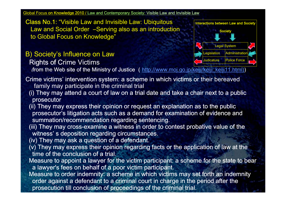Class No.1: "Visible Law and Invisible Law: Ubiquitous Law and Social Order -Serving also as an introduction to Global Focus on Knowledge"

# B) Society's Influence on Law  $\blacksquare$

**Rights of Crime Victims** 



(from the Web site of the Ministry of Justice (http://www.moj.go.jp/keiji/keiji\_keiji11.html))

- Crime victims' intervention system: a scheme in which victims or their bereaved<br>family may participate in the criminal trial
- (i) They may attend a court of law on a trial date and take a chair next to a public prosecutor
- (ii) They may express their opinion or request an explanation as to the public prosecutor's litigation acts such as a demand for examination of evidence and summation/recommendation regarding sentencing.
- (iii) They may cross-examine a witness in order to contest probative value of the witness' s deposition regarding circumstances.
- (iv) They may ask a question of a defendant.
- ( $v$ ) They may express their opinion regarding facts or the application of law at the time of the conclusion of a trial.
- Measure to appoint a lawyer for the victim participant: a scheme for the state to bear a lawyer's fees on behalf of a poor victim participant.
- Measure to order indemnity: a scheme in which victims may set forth an indemnity order against a defendant to a criminal court in charge in the period after the prosecution till conclusion of proceedings of the criminal trial.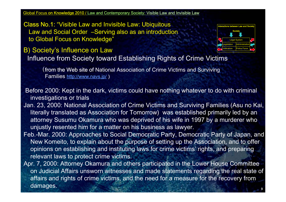Class No.1: "Visible Law and Invisible Law: Ubiquitous Law and Social Order ―Serving also as an introduction Society ―Serving introduction to Global Focus on Knowledge"



B) Society's Influence on Law

Influence from Society toward Establishing Rights of Crime Victims

(from the Web site of National Association of Crime Victims and Surviving Families <u>http://www.navs.jp/</u> )

Before 2000: Kept in the dark, victims could have nothing whatever to do with criminal investigations or trials

- Jan. 23, 2000: National Association of Crime Victims and Surviving Families (Asu no Kai, literally translated as Association for Tomorrow) was established primarily led by an attorney Susumu Okamura who was deprived of his wife in 1997 by a murderer who unjustly resented him for a matter on his business as lawyer.
- Feb.-Mar. 2000: Approaches to Social Democratic Party, Democratic Party of Japan, and New Komeito, to explain about the purpose of setting up the Association, and to offer opinions on establishing and instituting laws for crime victims' rights, and preparing relevant laws to protect crime victims.

Apr. 7, 2000: Attorney Okamura and others participated in the Lower House Committee on Judicial Affairs unsworn witnesses and made statements regarding the real state of affairs and rights of crime victims, and the need for a measure for the recovery from damages. A construction of the set of the set of the set of the set of the set of the set of the set of the set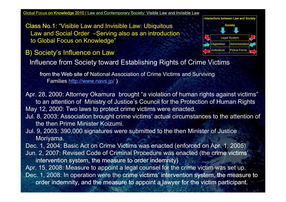Class No.1: "Visible Law and Invisible Law: Ubiquitous Law and Social Order –Serving also as an introduction to Global Focus on Knowledge"

B) Society's Influence on Law

Influence from Society toward Establishing Rights of Crime Victims

from the Web site of National Association of Crime Victims and Surviving Families http://www.navs.jp/)

Apr. 28, 2000: Attorney Okamura brought "a violation of human rights against victims" to an attention of Ministry of Justice's Council for the Protection of Human Rights May 12, 2000: Two laws to protect crime victims were enacted.

Society

Legislation **Administration** 

Legal System

**Police Force** 

**Interactions between Law and Society** 

- Jul. 8, 2003: Association brought crime victims' actual circumstances to the attention of the then Prime Minister Koizumi.
- Jul. 9, 2003: 390,000 signatures were submitted to the then Minister of Justice Moriyama.

Dec. 1, 2004: Basic Act on Crime Victims was enacted (enforced on Apr. 1, 2005). Jun. 2, 2007: Revised Code of Criminal Procedure was enacted (the crime victims' intervention system, the measure to order indemnity)

Apr. 15, 2008: Measure to appoint a legal counsel for the crime victim was set up. Dec. 1, 2008: In operation were the crime victims' intervention system, the measure to order indemnity, and the measure to appoint a lawyer for the victim participant.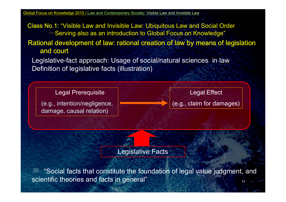Class No.1: "Visible Law and Invisible Law: Ubiquitous Law and Social Order  $\longrightarrow$ Serving also as an introduction to Global Focus on Knowledge"

Rational development of law: rational creation of law by means of legislation and court

Legislative-fact approach: Usage of social/natural sciences in law Definition of legislative facts (illustration)

Legal Prerequisite **Legal Effect** (e.g., intention/negligence, damage, causal relation)

(e.g., claim for damages)

Legislative Facts

≡ $\equiv$  "Social facts that constitute the foundation of legal value judgment, and<br>scientific theories and facts in general"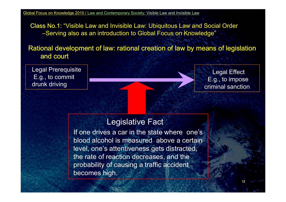Class No.1: "Visible Law and Invisible Law: Ubiquitous Law and Social Order –Serving also as an introduction to Global Focus on Knowledge"

Rational development of law: rational creation of law by means of legislation and court

Legal Prerequisite E.g., to commit **Contract Contract Contract Contract Contract Contract Contract Contract Contract Contract Control<br>E.g., to commit Contract Contract Contract Contract Contract Contract Contract Contract Contract Contract C**  courtE.g., drunk driving

E.g., to impose criminal sanction

# Legislative Fact

If one drives a car in the state where one's blood alcohol is measured above a certain level, one's attentiveness gets distracted, the rate of reaction decreases, and the probability of causing a traffic accident becomes high.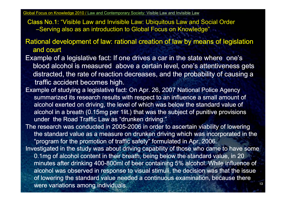Class No.1: "Visible Law and Invisible Law: Ubiquitous Law and Social Order –Serving also as an introduction to Global Focus on Knowledge"

Rational development of law: rational creation of law by means of legislation and court

- Example of a legislative fact: If one drives a car in the state where one's blood alcohol is measured above a certain level, one's attentiveness gets distracted, the rate of reaction decreases, and the probability of causing a traffic accident becomes high.
- Example of studying a legislative fact: On Apr. 26, 2007 National Police Agency summarized its research results with respect to an influence a small amount of alcohol exerted on driving, the level of which was below the standard value of alcohol in a breath (0.15mg per 1lit.) that was the subject of punitive provisions under the Road Traffic Law as "drunken driving."
- The research was conducted in 2005-2006 in order to ascertain viability of lowering the standard value as a measure on drunken driving which was incorporated in the "program for the promotion of traffic safety" formulated in Apr. 2006. Investigated in the study was about driving capability of those who came to have some 0.1mg of alcohol content in their breath, being below the standard value, in 20 minutes after drinking 400-800ml of beer containing 5% alcohol. While influence of alcohol was observed in response to visual stimuli, the decision was that the issue of lowering the standard value needed a continuous examination, because there there and the standard value needed a continuous examination, because there were variations among individuals.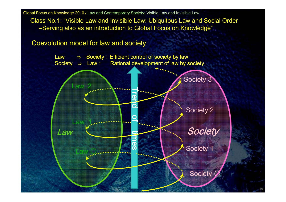